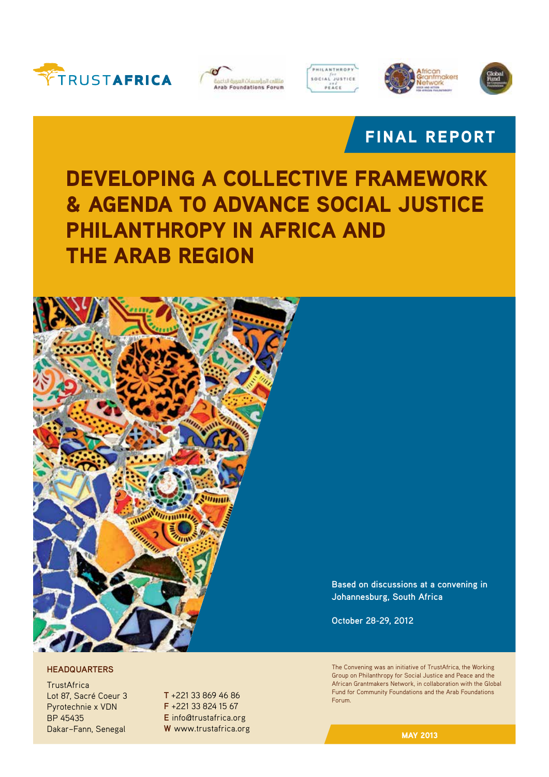









# DEVELOPING A COLLECTIVE FRAMEWORK & AGENDA TO ADVANCE SOCIAL JUSTICE PHILANTHROPY IN AFRICA AND THE ARAB REGION



#### **HEADQUARTERS**

**TrustAfrica** Lot 87, Sacré Coeur 3 Pyrotechnie x VDN BP 45435 Dakar–Fann, Senegal

**T** +221 33 869 46 86 **F** +221 33 824 15 67 **E** info@trustafrica.org **W** www.trustafrica.org **Based on discussions at a convening in Johannesburg, South Africa**

**October 28-29, 2012**

The Convening was an initiative of TrustAfrica, the Working Group on Philanthropy for Social Justice and Peace and the African Grantmakers Network, in collaboration with the Global Fund for Community Foundations and the Arab Foundations Forum.

may 2013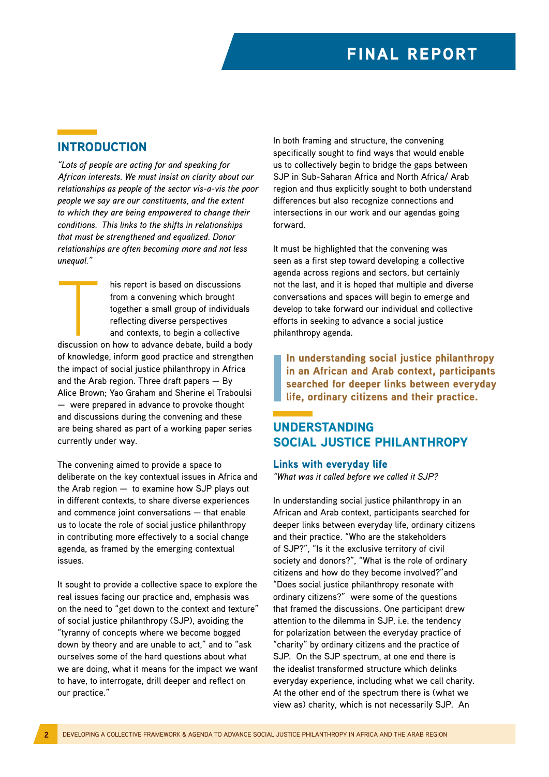### **INTRODUCTION**

*"Lots of people are acting for and speaking for African interests. We must insist on clarity about our relationships as people of the sector vis-a-vis the poor people we say are our constituents, and the extent to which they are being empowered to change their conditions. This links to the shifts in relationships that must be strengthened and equalized. Donor relationships are often becoming more and not less unequal."*

his report is based on discussions<br>
from a convening which brought<br>
together a small group of individuals<br>
reflecting diverse perspectives<br>
and contexts, to begin a collective<br>
discussion on how to advance debate, build a from a convening which brought together a small group of individuals reflecting diverse perspectives and contexts, to begin a collective of knowledge, inform good practice and strengthen the impact of social justice philanthropy in Africa and the Arab region. Three draft papers — By Alice Brown; Yao Graham and Sherine el Traboulsi — were prepared in advance to provoke thought and discussions during the convening and these are being shared as part of a working paper series currently under way.

The convening aimed to provide a space to deliberate on the key contextual issues in Africa and the Arab region — to examine how SJP plays out in different contexts, to share diverse experiences and commence joint conversations — that enable us to locate the role of social justice philanthropy in contributing more effectively to a social change agenda, as framed by the emerging contextual issues.

It sought to provide a collective space to explore the real issues facing our practice and, emphasis was on the need to "get down to the context and texture" of social justice philanthropy (SJP), avoiding the "tyranny of concepts where we become bogged down by theory and are unable to act," and to "ask ourselves some of the hard questions about what we are doing, what it means for the impact we want to have, to interrogate, drill deeper and reflect on our practice."

In both framing and structure, the convening specifically sought to find ways that would enable us to collectively begin to bridge the gaps between SJP in Sub-Saharan Africa and North Africa/ Arab region and thus explicitly sought to both understand differences but also recognize connections and intersections in our work and our agendas going forward.

It must be highlighted that the convening was seen as a first step toward developing a collective agenda across regions and sectors, but certainly not the last, and it is hoped that multiple and diverse conversations and spaces will begin to emerge and develop to take forward our individual and collective efforts in seeking to advance a social justice philanthropy agenda.

In understanding social justice philanthropy in an African and Arab context, participants searched for deeper links between everyday life, ordinary citizens and their practice.

# Understanding Social Justice Philanthropy

#### Links with everyday life

*"What was it called before we called it SJP?*

In understanding social justice philanthropy in an African and Arab context, participants searched for deeper links between everyday life, ordinary citizens and their practice. "Who are the stakeholders of SJP?", "Is it the exclusive territory of civil society and donors?", "What is the role of ordinary citizens and how do they become involved?"and "Does social justice philanthropy resonate with ordinary citizens?" were some of the questions that framed the discussions. One participant drew attention to the dilemma in SJP, i.e. the tendency for polarization between the everyday practice of "charity" by ordinary citizens and the practice of SJP. On the SJP spectrum, at one end there is the idealist transformed structure which delinks everyday experience, including what we call charity. At the other end of the spectrum there is (what we view as) charity, which is not necessarily SJP. An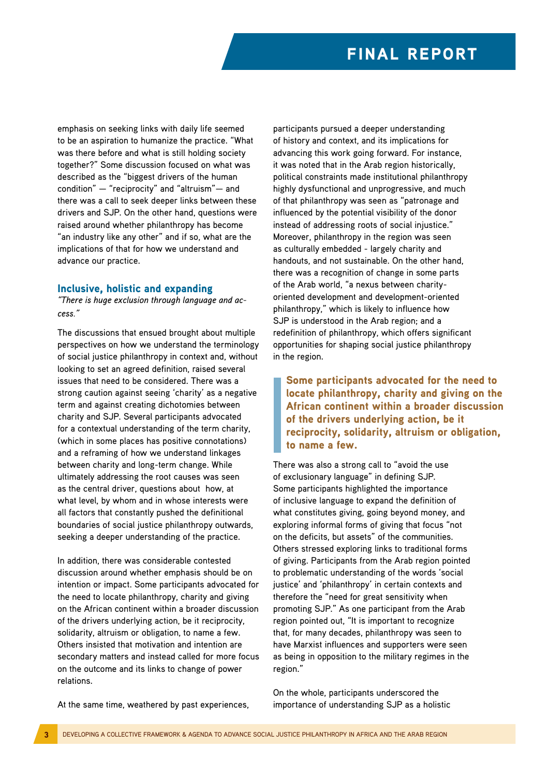emphasis on seeking links with daily life seemed to be an aspiration to humanize the practice. "What was there before and what is still holding society together?" Some discussion focused on what was described as the "biggest drivers of the human condition" — "reciprocity" and "altruism"— and there was a call to seek deeper links between these drivers and SJP. On the other hand, questions were raised around whether philanthropy has become "an industry like any other" and if so, what are the implications of that for how we understand and advance our practice.

#### Inclusive, holistic and expanding

*"There is huge exclusion through language and access."*

The discussions that ensued brought about multiple perspectives on how we understand the terminology of social justice philanthropy in context and, without looking to set an agreed definition, raised several issues that need to be considered. There was a strong caution against seeing 'charity' as a negative term and against creating dichotomies between charity and SJP. Several participants advocated for a contextual understanding of the term charity, (which in some places has positive connotations) and a reframing of how we understand linkages between charity and long-term change. While ultimately addressing the root causes was seen as the central driver, questions about how, at what level, by whom and in whose interests were all factors that constantly pushed the definitional boundaries of social justice philanthropy outwards, seeking a deeper understanding of the practice.

In addition, there was considerable contested discussion around whether emphasis should be on intention or impact. Some participants advocated for the need to locate philanthropy, charity and giving on the African continent within a broader discussion of the drivers underlying action, be it reciprocity, solidarity, altruism or obligation, to name a few. Others insisted that motivation and intention are secondary matters and instead called for more focus on the outcome and its links to change of power relations.

participants pursued a deeper understanding of history and context, and its implications for advancing this work going forward. For instance, it was noted that in the Arab region historically, political constraints made institutional philanthropy highly dysfunctional and unprogressive, and much of that philanthropy was seen as "patronage and influenced by the potential visibility of the donor instead of addressing roots of social injustice." Moreover, philanthropy in the region was seen as culturally embedded - largely charity and handouts, and not sustainable. On the other hand, there was a recognition of change in some parts of the Arab world, "a nexus between charityoriented development and development-oriented philanthropy," which is likely to influence how SJP is understood in the Arab region; and a redefinition of philanthropy, which offers significant opportunities for shaping social justice philanthropy in the region.

Some participants advocated for the need to locate philanthropy, charity and giving on the African continent within a broader discussion of the drivers underlying action, be it reciprocity, solidarity, altruism or obligation, to name a few.

There was also a strong call to "avoid the use of exclusionary language" in defining SJP. Some participants highlighted the importance of inclusive language to expand the definition of what constitutes giving, going beyond money, and exploring informal forms of giving that focus "not on the deficits, but assets" of the communities. Others stressed exploring links to traditional forms of giving. Participants from the Arab region pointed to problematic understanding of the words 'social justice' and 'philanthropy' in certain contexts and therefore the "need for great sensitivity when promoting SJP." As one participant from the Arab region pointed out, "It is important to recognize that, for many decades, philanthropy was seen to have Marxist influences and supporters were seen as being in opposition to the military regimes in the region."

On the whole, participants underscored the importance of understanding SJP as a holistic

At the same time, weathered by past experiences,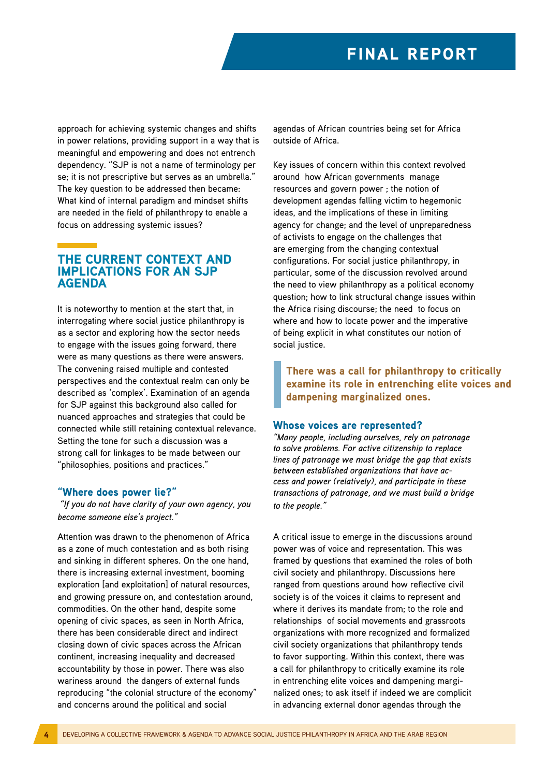approach for achieving systemic changes and shifts in power relations, providing support in a way that is meaningful and empowering and does not entrench dependency. "SJP is not a name of terminology per se; it is not prescriptive but serves as an umbrella." The key question to be addressed then became: What kind of internal paradigm and mindset shifts are needed in the field of philanthropy to enable a focus on addressing systemic issues?

### The Current Context and Implications for an SJP **AGENDA**

It is noteworthy to mention at the start that, in interrogating where social justice philanthropy is as a sector and exploring how the sector needs to engage with the issues going forward, there were as many questions as there were answers. The convening raised multiple and contested perspectives and the contextual realm can only be described as 'complex'. Examination of an agenda for SJP against this background also called for nuanced approaches and strategies that could be connected while still retaining contextual relevance. Setting the tone for such a discussion was a strong call for linkages to be made between our "philosophies, positions and practices."

#### "Where does power lie?"

 *"If you do not have clarity of your own agency, you become someone else's project."*

Attention was drawn to the phenomenon of Africa as a zone of much contestation and as both rising and sinking in different spheres. On the one hand, there is increasing external investment, booming exploration [and exploitation] of natural resources, and growing pressure on, and contestation around, commodities. On the other hand, despite some opening of civic spaces, as seen in North Africa, there has been considerable direct and indirect closing down of civic spaces across the African continent, increasing inequality and decreased accountability by those in power. There was also wariness around the dangers of external funds reproducing "the colonial structure of the economy" and concerns around the political and social

agendas of African countries being set for Africa outside of Africa.

Key issues of concern within this context revolved around how African governments manage resources and govern power ; the notion of development agendas falling victim to hegemonic ideas, and the implications of these in limiting agency for change; and the level of unpreparedness of activists to engage on the challenges that are emerging from the changing contextual configurations. For social justice philanthropy, in particular, some of the discussion revolved around the need to view philanthropy as a political economy question; how to link structural change issues within the Africa rising discourse; the need to focus on where and how to locate power and the imperative of being explicit in what constitutes our notion of social justice.

There was a call for philanthropy to critically examine its role in entrenching elite voices and dampening marginalized ones.

#### Whose voices are represented?

*"Many people, including ourselves, rely on patronage to solve problems. For active citizenship to replace lines of patronage we must bridge the gap that exists between established organizations that have access and power (relatively), and participate in these transactions of patronage, and we must build a bridge to the people."*

A critical issue to emerge in the discussions around power was of voice and representation. This was framed by questions that examined the roles of both civil society and philanthropy. Discussions here ranged from questions around how reflective civil society is of the voices it claims to represent and where it derives its mandate from; to the role and relationships of social movements and grassroots organizations with more recognized and formalized civil society organizations that philanthropy tends to favor supporting. Within this context, there was a call for philanthropy to critically examine its role in entrenching elite voices and dampening marginalized ones; to ask itself if indeed we are complicit in advancing external donor agendas through the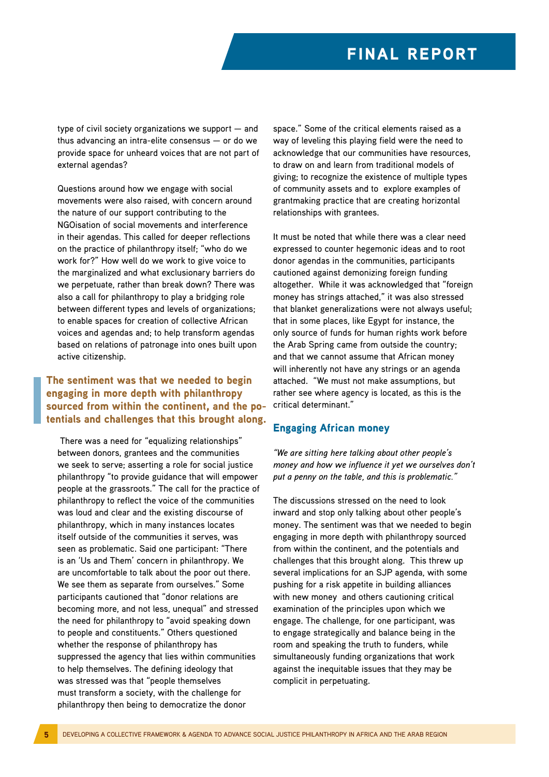type of civil society organizations we support — and thus advancing an intra-elite consensus — or do we provide space for unheard voices that are not part of external agendas?

Questions around how we engage with social movements were also raised, with concern around the nature of our support contributing to the NGOisation of social movements and interference in their agendas. This called for deeper reflections on the practice of philanthropy itself; "who do we work for?" How well do we work to give voice to the marginalized and what exclusionary barriers do we perpetuate, rather than break down? There was also a call for philanthropy to play a bridging role between different types and levels of organizations; to enable spaces for creation of collective African voices and agendas and; to help transform agendas based on relations of patronage into ones built upon active citizenship.

#### The sentiment was that we needed to begin engaging in more depth with philanthropy sourced from within the continent, and the potentials and challenges that this brought along.

 There was a need for "equalizing relationships" between donors, grantees and the communities we seek to serve; asserting a role for social justice philanthropy "to provide guidance that will empower people at the grassroots." The call for the practice of philanthropy to reflect the voice of the communities was loud and clear and the existing discourse of philanthropy, which in many instances locates itself outside of the communities it serves, was seen as problematic. Said one participant: "There is an 'Us and Them' concern in philanthropy. We are uncomfortable to talk about the poor out there. We see them as separate from ourselves." Some participants cautioned that "donor relations are becoming more, and not less, unequal" and stressed the need for philanthropy to "avoid speaking down to people and constituents." Others questioned whether the response of philanthropy has suppressed the agency that lies within communities to help themselves. The defining ideology that was stressed was that "people themselves must transform a society, with the challenge for philanthropy then being to democratize the donor

space." Some of the critical elements raised as a way of leveling this playing field were the need to acknowledge that our communities have resources, to draw on and learn from traditional models of giving; to recognize the existence of multiple types of community assets and to explore examples of grantmaking practice that are creating horizontal relationships with grantees.

It must be noted that while there was a clear need expressed to counter hegemonic ideas and to root donor agendas in the communities, participants cautioned against demonizing foreign funding altogether. While it was acknowledged that "foreign money has strings attached," it was also stressed that blanket generalizations were not always useful; that in some places, like Egypt for instance, the only source of funds for human rights work before the Arab Spring came from outside the country; and that we cannot assume that African money will inherently not have any strings or an agenda attached. "We must not make assumptions, but rather see where agency is located, as this is the critical determinant."

### Engaging African money

*"We are sitting here talking about other people's money and how we influence it yet we ourselves don't put a penny on the table, and this is problematic."*

The discussions stressed on the need to look inward and stop only talking about other people's money. The sentiment was that we needed to begin engaging in more depth with philanthropy sourced from within the continent, and the potentials and challenges that this brought along. This threw up several implications for an SJP agenda, with some pushing for a risk appetite in building alliances with new money and others cautioning critical examination of the principles upon which we engage. The challenge, for one participant, was to engage strategically and balance being in the room and speaking the truth to funders, while simultaneously funding organizations that work against the inequitable issues that they may be complicit in perpetuating.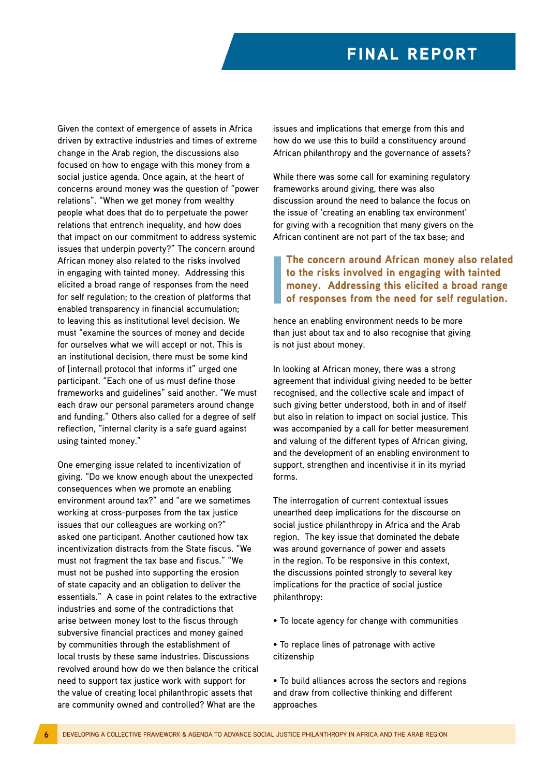Given the context of emergence of assets in Africa driven by extractive industries and times of extreme change in the Arab region, the discussions also focused on how to engage with this money from a social justice agenda. Once again, at the heart of concerns around money was the question of "power relations". "When we get money from wealthy people what does that do to perpetuate the power relations that entrench inequality, and how does that impact on our commitment to address systemic issues that underpin poverty?" The concern around African money also related to the risks involved in engaging with tainted money. Addressing this elicited a broad range of responses from the need for self regulation; to the creation of platforms that enabled transparency in financial accumulation; to leaving this as institutional level decision. We must "examine the sources of money and decide for ourselves what we will accept or not. This is an institutional decision, there must be some kind of [internal] protocol that informs it" urged one participant. "Each one of us must define those frameworks and guidelines" said another. "We must each draw our personal parameters around change and funding." Others also called for a degree of self reflection, "internal clarity is a safe guard against using tainted money."

One emerging issue related to incentivization of giving. "Do we know enough about the unexpected consequences when we promote an enabling environment around tax?" and "are we sometimes working at cross-purposes from the tax justice issues that our colleagues are working on?" asked one participant. Another cautioned how tax incentivization distracts from the State fiscus. "We must not fragment the tax base and fiscus." "We must not be pushed into supporting the erosion of state capacity and an obligation to deliver the essentials." A case in point relates to the extractive industries and some of the contradictions that arise between money lost to the fiscus through subversive financial practices and money gained by communities through the establishment of local trusts by these same industries. Discussions revolved around how do we then balance the critical need to support tax justice work with support for the value of creating local philanthropic assets that are community owned and controlled? What are the

issues and implications that emerge from this and how do we use this to build a constituency around African philanthropy and the governance of assets?

While there was some call for examining regulatory frameworks around giving, there was also discussion around the need to balance the focus on the issue of 'creating an enabling tax environment' for giving with a recognition that many givers on the African continent are not part of the tax base; and

#### The concern around African money also related to the risks involved in engaging with tainted money. Addressing this elicited a broad range of responses from the need for self regulation.

hence an enabling environment needs to be more than just about tax and to also recognise that giving is not just about money.

In looking at African money, there was a strong agreement that individual giving needed to be better recognised, and the collective scale and impact of such giving better understood, both in and of itself but also in relation to impact on social justice. This was accompanied by a call for better measurement and valuing of the different types of African giving, and the development of an enabling environment to support, strengthen and incentivise it in its myriad forms.

The interrogation of current contextual issues unearthed deep implications for the discourse on social justice philanthropy in Africa and the Arab region. The key issue that dominated the debate was around governance of power and assets in the region. To be responsive in this context, the discussions pointed strongly to several key implications for the practice of social justice philanthropy:

- To locate agency for change with communities
- To replace lines of patronage with active citizenship

• To build alliances across the sectors and regions and draw from collective thinking and different approaches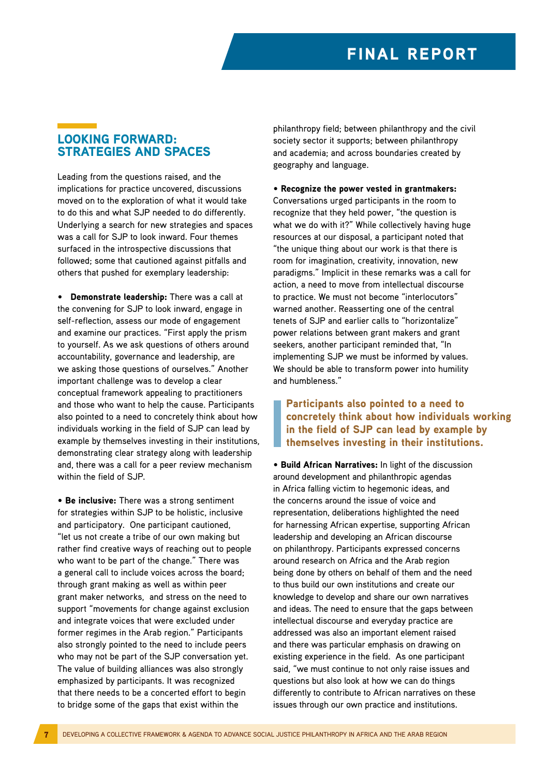### Looking Forward: Strategies and Spaces

Leading from the questions raised, and the implications for practice uncovered, discussions moved on to the exploration of what it would take to do this and what SJP needed to do differently. Underlying a search for new strategies and spaces was a call for SJP to look inward. Four themes surfaced in the introspective discussions that followed; some that cautioned against pitfalls and others that pushed for exemplary leadership:

• Demonstrate leadership: There was a call at the convening for SJP to look inward, engage in self-reflection, assess our mode of engagement and examine our practices. "First apply the prism to yourself. As we ask questions of others around accountability, governance and leadership, are we asking those questions of ourselves." Another important challenge was to develop a clear conceptual framework appealing to practitioners and those who want to help the cause. Participants also pointed to a need to concretely think about how individuals working in the field of SJP can lead by example by themselves investing in their institutions, demonstrating clear strategy along with leadership and, there was a call for a peer review mechanism within the field of SJP.

• Be inclusive: There was a strong sentiment for strategies within SJP to be holistic, inclusive and participatory. One participant cautioned, "let us not create a tribe of our own making but rather find creative ways of reaching out to people who want to be part of the change." There was a general call to include voices across the board; through grant making as well as within peer grant maker networks, and stress on the need to support "movements for change against exclusion and integrate voices that were excluded under former regimes in the Arab region." Participants also strongly pointed to the need to include peers who may not be part of the SJP conversation yet. The value of building alliances was also strongly emphasized by participants. It was recognized that there needs to be a concerted effort to begin to bridge some of the gaps that exist within the

philanthropy field; between philanthropy and the civil society sector it supports; between philanthropy and academia; and across boundaries created by geography and language.

#### • Recognize the power vested in grantmakers: Conversations urged participants in the room to recognize that they held power, "the question is what we do with it?" While collectively having huge resources at our disposal, a participant noted that "the unique thing about our work is that there is room for imagination, creativity, innovation, new paradigms." Implicit in these remarks was a call for action, a need to move from intellectual discourse to practice. We must not become "interlocutors" warned another. Reasserting one of the central tenets of SJP and earlier calls to "horizontalize" power relations between grant makers and grant seekers, another participant reminded that, "In implementing SJP we must be informed by values. We should be able to transform power into humility and humbleness."

#### Participants also pointed to a need to concretely think about how individuals working in the field of SJP can lead by example by themselves investing in their institutions.

• Build African Narratives: In light of the discussion around development and philanthropic agendas in Africa falling victim to hegemonic ideas, and the concerns around the issue of voice and representation, deliberations highlighted the need for harnessing African expertise, supporting African leadership and developing an African discourse on philanthropy. Participants expressed concerns around research on Africa and the Arab region being done by others on behalf of them and the need to thus build our own institutions and create our knowledge to develop and share our own narratives and ideas. The need to ensure that the gaps between intellectual discourse and everyday practice are addressed was also an important element raised and there was particular emphasis on drawing on existing experience in the field. As one participant said, "we must continue to not only raise issues and questions but also look at how we can do things differently to contribute to African narratives on these issues through our own practice and institutions.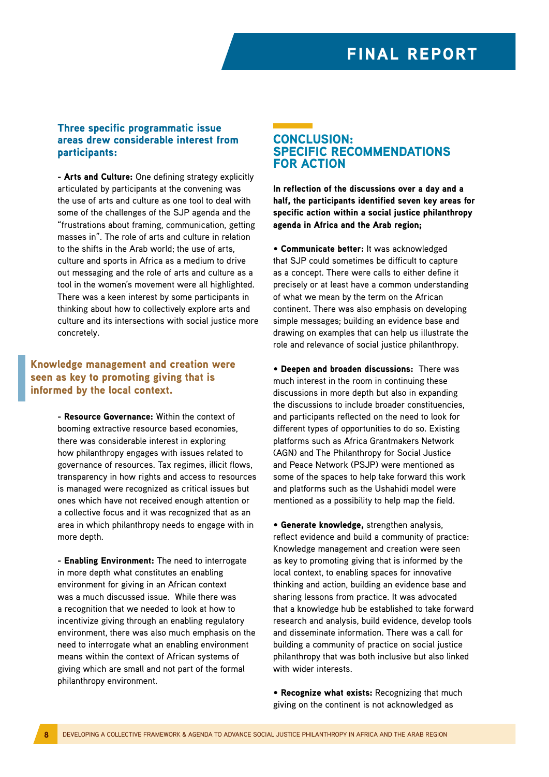#### Three specific programmatic issue areas drew considerable interest from participants:

- Arts and Culture: One defining strategy explicitly articulated by participants at the convening was the use of arts and culture as one tool to deal with some of the challenges of the SJP agenda and the "frustrations about framing, communication, getting masses in". The role of arts and culture in relation to the shifts in the Arab world; the use of arts, culture and sports in Africa as a medium to drive out messaging and the role of arts and culture as a tool in the women's movement were all highlighted. There was a keen interest by some participants in thinking about how to collectively explore arts and culture and its intersections with social justice more concretely.

Knowledge management and creation were seen as key to promoting giving that is informed by the local context.

> - Resource Governance: Within the context of booming extractive resource based economies, there was considerable interest in exploring how philanthropy engages with issues related to governance of resources. Tax regimes, illicit flows, transparency in how rights and access to resources is managed were recognized as critical issues but ones which have not received enough attention or a collective focus and it was recognized that as an area in which philanthropy needs to engage with in more depth.

> - Enabling Environment: The need to interrogate in more depth what constitutes an enabling environment for giving in an African context was a much discussed issue. While there was a recognition that we needed to look at how to incentivize giving through an enabling regulatory environment, there was also much emphasis on the need to interrogate what an enabling environment means within the context of African systems of giving which are small and not part of the formal philanthropy environment.

## Conclusion: SPECIFIC RECOMMENDATIONS for Action

In reflection of the discussions over a day and a half, the participants identified seven key areas for specific action within a social justice philanthropy agenda in Africa and the Arab region;

• Communicate better: It was acknowledged that SJP could sometimes be difficult to capture as a concept. There were calls to either define it precisely or at least have a common understanding of what we mean by the term on the African continent. There was also emphasis on developing simple messages; building an evidence base and drawing on examples that can help us illustrate the role and relevance of social justice philanthropy.

• Deepen and broaden discussions: There was much interest in the room in continuing these discussions in more depth but also in expanding the discussions to include broader constituencies, and participants reflected on the need to look for different types of opportunities to do so. Existing platforms such as Africa Grantmakers Network (AGN) and The Philanthropy for Social Justice and Peace Network (PSJP) were mentioned as some of the spaces to help take forward this work and platforms such as the Ushahidi model were mentioned as a possibility to help map the field.

• Generate knowledge, strengthen analysis, reflect evidence and build a community of practice: Knowledge management and creation were seen as key to promoting giving that is informed by the local context, to enabling spaces for innovative thinking and action, building an evidence base and sharing lessons from practice. It was advocated that a knowledge hub be established to take forward research and analysis, build evidence, develop tools and disseminate information. There was a call for building a community of practice on social justice philanthropy that was both inclusive but also linked with wider interests.

• Recognize what exists: Recognizing that much giving on the continent is not acknowledged as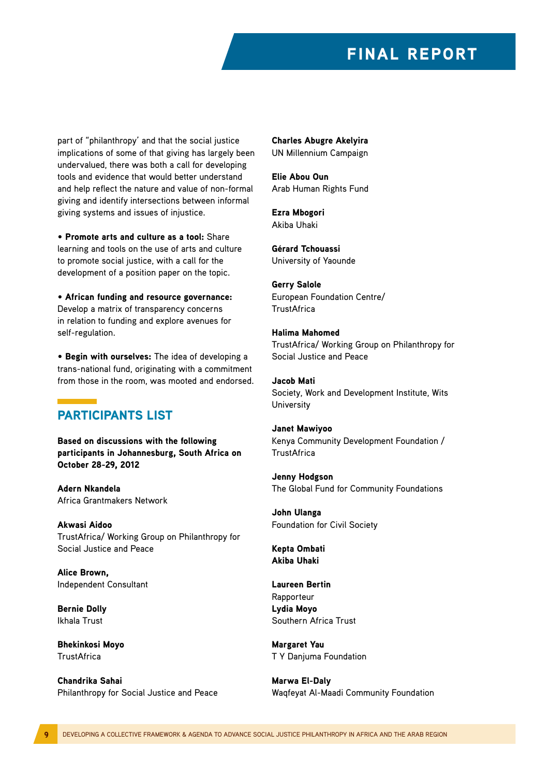part of "philanthropy' and that the social justice implications of some of that giving has largely been undervalued, there was both a call for developing tools and evidence that would better understand and help reflect the nature and value of non-formal giving and identify intersections between informal giving systems and issues of injustice.

• Promote arts and culture as a tool: Share learning and tools on the use of arts and culture to promote social justice, with a call for the development of a position paper on the topic.

• African funding and resource governance: Develop a matrix of transparency concerns in relation to funding and explore avenues for self-regulation.

• Begin with ourselves: The idea of developing a trans-national fund, originating with a commitment from those in the room, was mooted and endorsed.

# Participants List

Based on discussions with the following participants in Johannesburg, South Africa on October 28-29, 2012

Adern Nkandela Africa Grantmakers Network

Akwasi Aidoo TrustAfrica/ Working Group on Philanthropy for Social Justice and Peace

Alice Brown, Independent Consultant

Bernie Dolly Ikhala Trust

Bhekinkosi Moyo **TrustAfrica** 

Chandrika Sahai Philanthropy for Social Justice and Peace Charles Abugre Akelyira UN Millennium Campaign

Elie Abou Oun Arab Human Rights Fund

Ezra Mbogori Akiba Uhaki

Gérard Tchouassi University of Yaounde

Gerry Salole European Foundation Centre/ **TrustAfrica** 

Halima Mahomed TrustAfrica/ Working Group on Philanthropy for Social Justice and Peace

Jacob Mati Society, Work and Development Institute, Wits **University** 

Janet Mawiyoo Kenya Community Development Foundation / **TrustAfrica** 

Jenny Hodgson The Global Fund for Community Foundations

John Ulanga Foundation for Civil Society

Kepta Ombati Akiba Uhaki

Laureen Bertin Rapporteur Lydia Moyo Southern Africa Trust

Margaret Yau T Y Danjuma Foundation

Marwa El-Daly Waqfeyat Al-Maadi Community Foundation